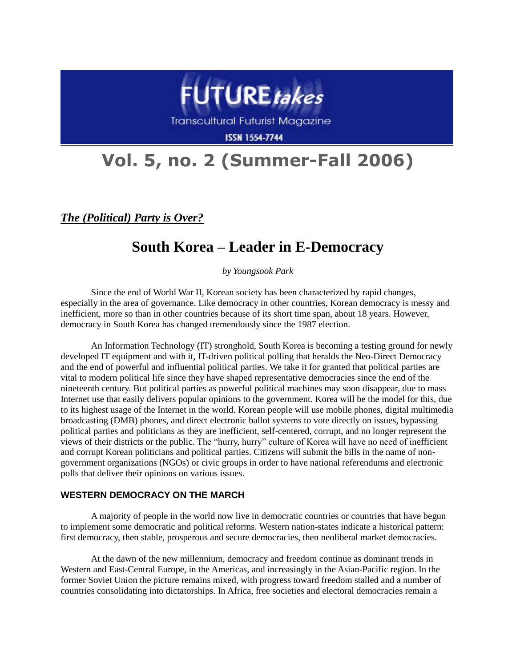

Transcultural Futurist Magazine

**ISSN 1554-7744** 

# **Vol. 5, no. 2 (Summer-Fall 2006)**

*The (Political) Party is Over?*

# **South Korea – Leader in E-Democracy**

*by Youngsook Park*

Since the end of World War II, Korean society has been characterized by rapid changes, especially in the area of governance. Like democracy in other countries, Korean democracy is messy and inefficient, more so than in other countries because of its short time span, about 18 years. However, democracy in South Korea has changed tremendously since the 1987 election.

An Information Technology (IT) stronghold, South Korea is becoming a testing ground for newly developed IT equipment and with it, IT-driven political polling that heralds the Neo-Direct Democracy and the end of powerful and influential political parties. We take it for granted that political parties are vital to modern political life since they have shaped representative democracies since the end of the nineteenth century. But political parties as powerful political machines may soon disappear, due to mass Internet use that easily delivers popular opinions to the government. Korea will be the model for this, due to its highest usage of the Internet in the world. Korean people will use mobile phones, digital multimedia broadcasting (DMB) phones, and direct electronic ballot systems to vote directly on issues, bypassing political parties and politicians as they are inefficient, self-centered, corrupt, and no longer represent the views of their districts or the public. The "hurry, hurry" culture of Korea will have no need of inefficient and corrupt Korean politicians and political parties. Citizens will submit the bills in the name of nongovernment organizations (NGOs) or civic groups in order to have national referendums and electronic polls that deliver their opinions on various issues.

# **WESTERN DEMOCRACY ON THE MARCH**

A majority of people in the world now live in democratic countries or countries that have begun to implement some democratic and political reforms. Western nation-states indicate a historical pattern: first democracy, then stable, prosperous and secure democracies, then neoliberal market democracies.

At the dawn of the new millennium, democracy and freedom continue as dominant trends in Western and East-Central Europe, in the Americas, and increasingly in the Asian-Pacific region. In the former Soviet Union the picture remains mixed, with progress toward freedom stalled and a number of countries consolidating into dictatorships. In Africa, free societies and electoral democracies remain a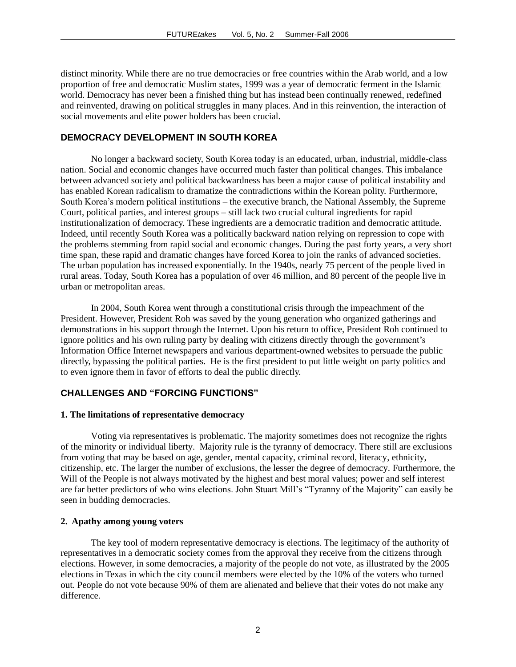distinct minority. While there are no true democracies or free countries within the Arab world, and a low proportion of free and democratic Muslim states, 1999 was a year of democratic ferment in the Islamic world. Democracy has never been a finished thing but has instead been continually renewed, redefined and reinvented, drawing on political struggles in many places. And in this reinvention, the interaction of social movements and elite power holders has been crucial.

# **DEMOCRACY DEVELOPMENT IN SOUTH KOREA**

No longer a backward society, South Korea today is an educated, urban, industrial, middle-class nation. Social and economic changes have occurred much faster than political changes. This imbalance between advanced society and political backwardness has been a major cause of political instability and has enabled Korean radicalism to dramatize the contradictions within the Korean polity. Furthermore, South Korea's modern political institutions – the executive branch, the National Assembly, the Supreme Court, political parties, and interest groups – still lack two crucial cultural ingredients for rapid institutionalization of democracy. These ingredients are a democratic tradition and democratic attitude. Indeed, until recently South Korea was a politically backward nation relying on repression to cope with the problems stemming from rapid social and economic changes. During the past forty years, a very short time span, these rapid and dramatic changes have forced Korea to join the ranks of advanced societies. The urban population has increased exponentially. In the 1940s, nearly 75 percent of the people lived in rural areas. Today, South Korea has a population of over 46 million, and 80 percent of the people live in urban or metropolitan areas.

In 2004, South Korea went through a constitutional crisis through the impeachment of the President. However, President Roh was saved by the young generation who organized gatherings and demonstrations in his support through the Internet. Upon his return to office, President Roh continued to ignore politics and his own ruling party by dealing with citizens directly through the government's Information Office Internet newspapers and various department-owned websites to persuade the public directly, bypassing the political parties. He is the first president to put little weight on party politics and to even ignore them in favor of efforts to deal the public directly.

# **CHALLENGES AND "FORCING FUNCTIONS"**

#### **1. The limitations of representative democracy**

Voting via representatives is problematic. The majority sometimes does not recognize the rights of the minority or individual liberty. Majority rule is the tyranny of democracy. There still are exclusions from voting that may be based on age, gender, mental capacity, criminal record, literacy, ethnicity, citizenship, etc. The larger the number of exclusions, the lesser the degree of democracy. Furthermore, the Will of the People is not always motivated by the highest and best moral values; power and self interest are far better predictors of who wins elections. John Stuart Mill's "Tyranny of the Majority" can easily be seen in budding democracies.

#### **2. Apathy among young voters**

The key tool of modern representative democracy is elections. The legitimacy of the authority of representatives in a democratic society comes from the approval they receive from the citizens through elections. However, in some democracies, a majority of the people do not vote, as illustrated by the 2005 elections in Texas in which the city council members were elected by the 10% of the voters who turned out. People do not vote because 90% of them are alienated and believe that their votes do not make any difference.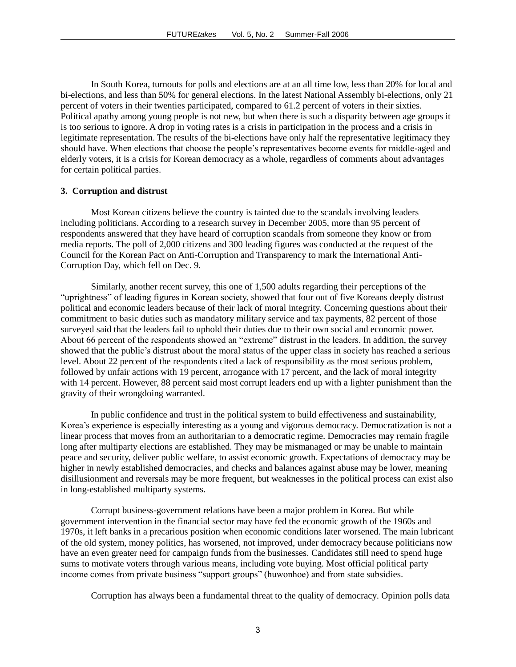In South Korea, turnouts for polls and elections are at an all time low, less than 20% for local and bi-elections, and less than 50% for general elections. In the latest National Assembly bi-elections, only 21 percent of voters in their twenties participated, compared to 61.2 percent of voters in their sixties. Political apathy among young people is not new, but when there is such a disparity between age groups it is too serious to ignore. A drop in voting rates is a crisis in participation in the process and a crisis in legitimate representation. The results of the bi-elections have only half the representative legitimacy they should have. When elections that choose the people's representatives become events for middle-aged and elderly voters, it is a crisis for Korean democracy as a whole, regardless of comments about advantages for certain political parties.

#### **3. Corruption and distrust**

Most Korean citizens believe the country is tainted due to the scandals involving leaders including politicians. According to a research survey in December 2005, more than 95 percent of respondents answered that they have heard of corruption scandals from someone they know or from media reports. The poll of 2,000 citizens and 300 leading figures was conducted at the request of the Council for the Korean Pact on Anti-Corruption and Transparency to mark the International Anti-Corruption Day, which fell on Dec. 9.

Similarly, another recent survey, this one of 1,500 adults regarding their perceptions of the "uprightness" of leading figures in Korean society, showed that four out of five Koreans deeply distrust political and economic leaders because of their lack of moral integrity. Concerning questions about their commitment to basic duties such as mandatory military service and tax payments, 82 percent of those surveyed said that the leaders fail to uphold their duties due to their own social and economic power. About 66 percent of the respondents showed an "extreme" distrust in the leaders. In addition, the survey showed that the public's distrust about the moral status of the upper class in society has reached a serious level. About 22 percent of the respondents cited a lack of responsibility as the most serious problem, followed by unfair actions with 19 percent, arrogance with 17 percent, and the lack of moral integrity with 14 percent. However, 88 percent said most corrupt leaders end up with a lighter punishment than the gravity of their wrongdoing warranted.

In public confidence and trust in the political system to build effectiveness and sustainability, Korea's experience is especially interesting as a young and vigorous democracy. Democratization is not a linear process that moves from an authoritarian to a democratic regime. Democracies may remain fragile long after multiparty elections are established. They may be mismanaged or may be unable to maintain peace and security, deliver public welfare, to assist economic growth. Expectations of democracy may be higher in newly established democracies, and checks and balances against abuse may be lower, meaning disillusionment and reversals may be more frequent, but weaknesses in the political process can exist also in long-established multiparty systems.

Corrupt business-government relations have been a major problem in Korea. But while government intervention in the financial sector may have fed the economic growth of the 1960s and 1970s, it left banks in a precarious position when economic conditions later worsened. The main lubricant of the old system, money politics, has worsened, not improved, under democracy because politicians now have an even greater need for campaign funds from the businesses. Candidates still need to spend huge sums to motivate voters through various means, including vote buying. Most official political party income comes from private business "support groups" (huwonhoe) and from state subsidies.

Corruption has always been a fundamental threat to the quality of democracy. Opinion polls data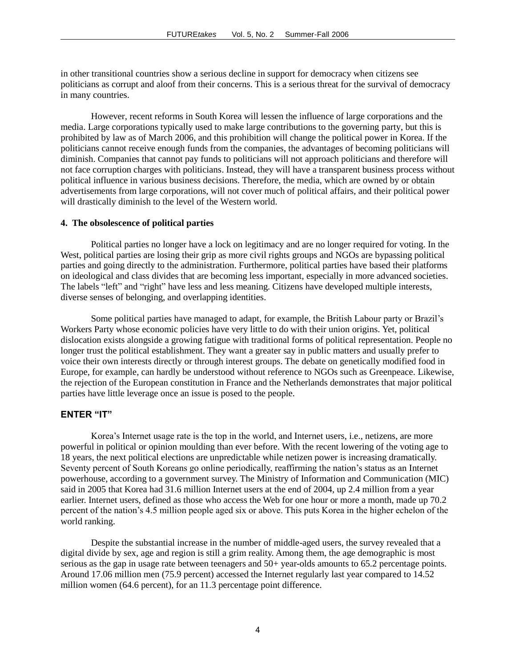in other transitional countries show a serious decline in support for democracy when citizens see politicians as corrupt and aloof from their concerns. This is a serious threat for the survival of democracy in many countries.

However, recent reforms in South Korea will lessen the influence of large corporations and the media. Large corporations typically used to make large contributions to the governing party, but this is prohibited by law as of March 2006, and this prohibition will change the political power in Korea. If the politicians cannot receive enough funds from the companies, the advantages of becoming politicians will diminish. Companies that cannot pay funds to politicians will not approach politicians and therefore will not face corruption charges with politicians. Instead, they will have a transparent business process without political influence in various business decisions. Therefore, the media, which are owned by or obtain advertisements from large corporations, will not cover much of political affairs, and their political power will drastically diminish to the level of the Western world.

# **4. The obsolescence of political parties**

Political parties no longer have a lock on legitimacy and are no longer required for voting. In the West, political parties are losing their grip as more civil rights groups and NGOs are bypassing political parties and going directly to the administration. Furthermore, political parties have based their platforms on ideological and class divides that are becoming less important, especially in more advanced societies. The labels "left" and "right" have less and less meaning. Citizens have developed multiple interests, diverse senses of belonging, and overlapping identities.

Some political parties have managed to adapt, for example, the British Labour party or Brazil's Workers Party whose economic policies have very little to do with their union origins. Yet, political dislocation exists alongside a growing fatigue with traditional forms of political representation. People no longer trust the political establishment. They want a greater say in public matters and usually prefer to voice their own interests directly or through interest groups. The debate on genetically modified food in Europe, for example, can hardly be understood without reference to NGOs such as Greenpeace. Likewise, the rejection of the European constitution in France and the Netherlands demonstrates that major political parties have little leverage once an issue is posed to the people.

# **ENTER "IT"**

Korea's Internet usage rate is the top in the world, and Internet users, i.e., netizens, are more powerful in political or opinion moulding than ever before. With the recent lowering of the voting age to 18 years, the next political elections are unpredictable while netizen power is increasing dramatically. Seventy percent of South Koreans go online periodically, reaffirming the nation's status as an Internet powerhouse, according to a government survey. The Ministry of Information and Communication (MIC) said in 2005 that Korea had 31.6 million Internet users at the end of 2004, up 2.4 million from a year earlier. Internet users, defined as those who access the Web for one hour or more a month, made up 70.2 percent of the nation's 4.5 million people aged six or above. This puts Korea in the higher echelon of the world ranking.

Despite the substantial increase in the number of middle-aged users, the survey revealed that a digital divide by sex, age and region is still a grim reality. Among them, the age demographic is most serious as the gap in usage rate between teenagers and 50+ year-olds amounts to 65.2 percentage points. Around 17.06 million men (75.9 percent) accessed the Internet regularly last year compared to 14.52 million women (64.6 percent), for an 11.3 percentage point difference.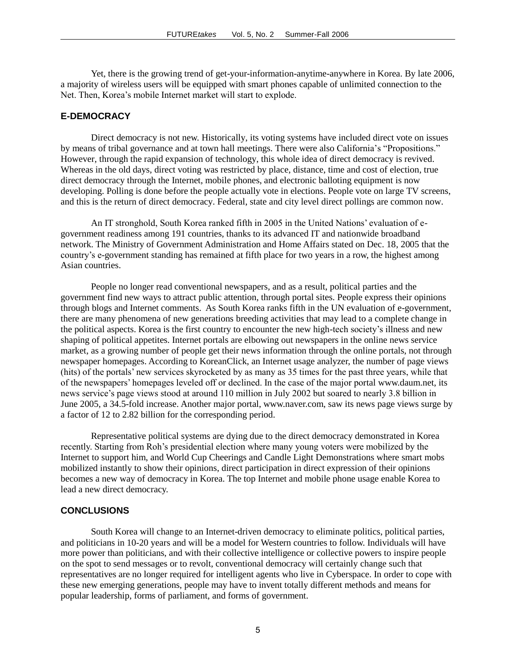Yet, there is the growing trend of get-your-information-anytime-anywhere in Korea. By late 2006, a majority of wireless users will be equipped with smart phones capable of unlimited connection to the Net. Then, Korea's mobile Internet market will start to explode.

# **E-DEMOCRACY**

Direct democracy is not new. Historically, its voting systems have included direct vote on issues by means of tribal governance and at town hall meetings. There were also California's "Propositions." However, through the rapid expansion of technology, this whole idea of direct democracy is revived. Whereas in the old days, direct voting was restricted by place, distance, time and cost of election, true direct democracy through the Internet, mobile phones, and electronic balloting equipment is now developing. Polling is done before the people actually vote in elections. People vote on large TV screens, and this is the return of direct democracy. Federal, state and city level direct pollings are common now.

An IT stronghold, South Korea ranked fifth in 2005 in the United Nations' evaluation of egovernment readiness among 191 countries, thanks to its advanced IT and nationwide broadband network. The Ministry of Government Administration and Home Affairs stated on Dec. 18, 2005 that the country's e-government standing has remained at fifth place for two years in a row, the highest among Asian countries.

People no longer read conventional newspapers, and as a result, political parties and the government find new ways to attract public attention, through portal sites. People express their opinions through blogs and Internet comments. As South Korea ranks fifth in the UN evaluation of e-government, there are many phenomena of new generations breeding activities that may lead to a complete change in the political aspects. Korea is the first country to encounter the new high-tech society's illness and new shaping of political appetites. Internet portals are elbowing out newspapers in the online news service market, as a growing number of people get their news information through the online portals, not through newspaper homepages. According to KoreanClick, an Internet usage analyzer, the number of page views (hits) of the portals' new services skyrocketed by as many as 35 times for the past three years, while that of the newspapers' homepages leveled off or declined. In the case of the major portal www.daum.net, its news service's page views stood at around 110 million in July 2002 but soared to nearly 3.8 billion in June 2005, a 34.5-fold increase. Another major portal, www.naver.com, saw its news page views surge by a factor of 12 to 2.82 billion for the corresponding period.

Representative political systems are dying due to the direct democracy demonstrated in Korea recently. Starting from Roh's presidential election where many young voters were mobilized by the Internet to support him, and World Cup Cheerings and Candle Light Demonstrations where smart mobs mobilized instantly to show their opinions, direct participation in direct expression of their opinions becomes a new way of democracy in Korea. The top Internet and mobile phone usage enable Korea to lead a new direct democracy.

# **CONCLUSIONS**

South Korea will change to an Internet-driven democracy to eliminate politics, political parties, and politicians in 10-20 years and will be a model for Western countries to follow. Individuals will have more power than politicians, and with their collective intelligence or collective powers to inspire people on the spot to send messages or to revolt, conventional democracy will certainly change such that representatives are no longer required for intelligent agents who live in Cyberspace. In order to cope with these new emerging generations, people may have to invent totally different methods and means for popular leadership, forms of parliament, and forms of government.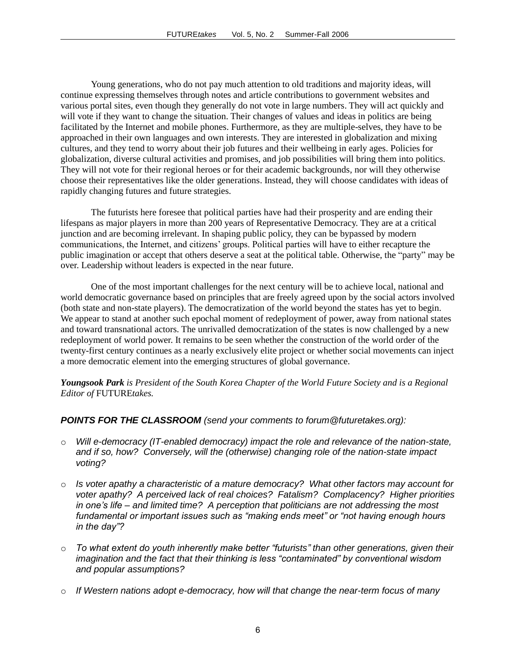Young generations, who do not pay much attention to old traditions and majority ideas, will continue expressing themselves through notes and article contributions to government websites and various portal sites, even though they generally do not vote in large numbers. They will act quickly and will vote if they want to change the situation. Their changes of values and ideas in politics are being facilitated by the Internet and mobile phones. Furthermore, as they are multiple-selves, they have to be approached in their own languages and own interests. They are interested in globalization and mixing cultures, and they tend to worry about their job futures and their wellbeing in early ages. Policies for globalization, diverse cultural activities and promises, and job possibilities will bring them into politics. They will not vote for their regional heroes or for their academic backgrounds, nor will they otherwise choose their representatives like the older generations. Instead, they will choose candidates with ideas of rapidly changing futures and future strategies.

The futurists here foresee that political parties have had their prosperity and are ending their lifespans as major players in more than 200 years of Representative Democracy. They are at a critical junction and are becoming irrelevant. In shaping public policy, they can be bypassed by modern communications, the Internet, and citizens' groups. Political parties will have to either recapture the public imagination or accept that others deserve a seat at the political table. Otherwise, the "party" may be over. Leadership without leaders is expected in the near future.

One of the most important challenges for the next century will be to achieve local, national and world democratic governance based on principles that are freely agreed upon by the social actors involved (both state and non-state players). The democratization of the world beyond the states has yet to begin. We appear to stand at another such epochal moment of redeployment of power, away from national states and toward transnational actors. The unrivalled democratization of the states is now challenged by a new redeployment of world power. It remains to be seen whether the construction of the world order of the twenty-first century continues as a nearly exclusively elite project or whether social movements can inject a more democratic element into the emerging structures of global governance.

*Youngsook Park is President of the South Korea Chapter of the World Future Society and is a Regional Editor of* FUTURE*takes.*

# *POINTS FOR THE CLASSROOM (send your comments to forum@futuretakes.org):*

- o *Will e-democracy (IT-enabled democracy) impact the role and relevance of the nation-state, and if so, how? Conversely, will the (otherwise) changing role of the nation-state impact voting?*
- o *Is voter apathy a characteristic of a mature democracy? What other factors may account for voter apathy? A perceived lack of real choices? Fatalism? Complacency? Higher priorities in one's life – and limited time? A perception that politicians are not addressing the most fundamental or important issues such as "making ends meet" or "not having enough hours in the day"?*
- o *To what extent do youth inherently make better "futurists" than other generations, given their imagination and the fact that their thinking is less "contaminated" by conventional wisdom and popular assumptions?*
- o *If Western nations adopt e-democracy, how will that change the near-term focus of many*